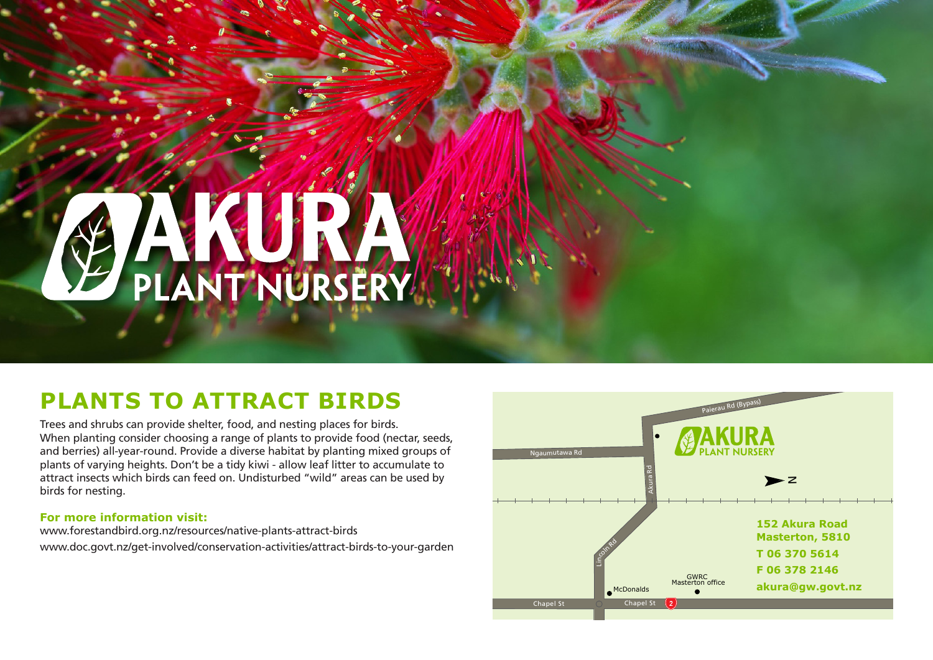# PLANT NURSERY

#### **PLANTS TO ATTRACT BIRDS**

Trees and shrubs can provide shelter, food, and nesting places for birds. When planting consider choosing a range of plants to provide food (nectar, seeds, and berries) all-year-round. Provide a diverse habitat by planting mixed groups of plants of varying heights. Don't be a tidy kiwi - allow leaf litter to accumulate to attract insects which birds can feed on. Undisturbed "wild" areas can be used by birds for nesting.

#### **For more information visit:**

www.forestandbird.org.nz/resources/native-plants-attract-birds www.doc.govt.nz/get-involved/conservation-activities/attract-birds-to-your-garden

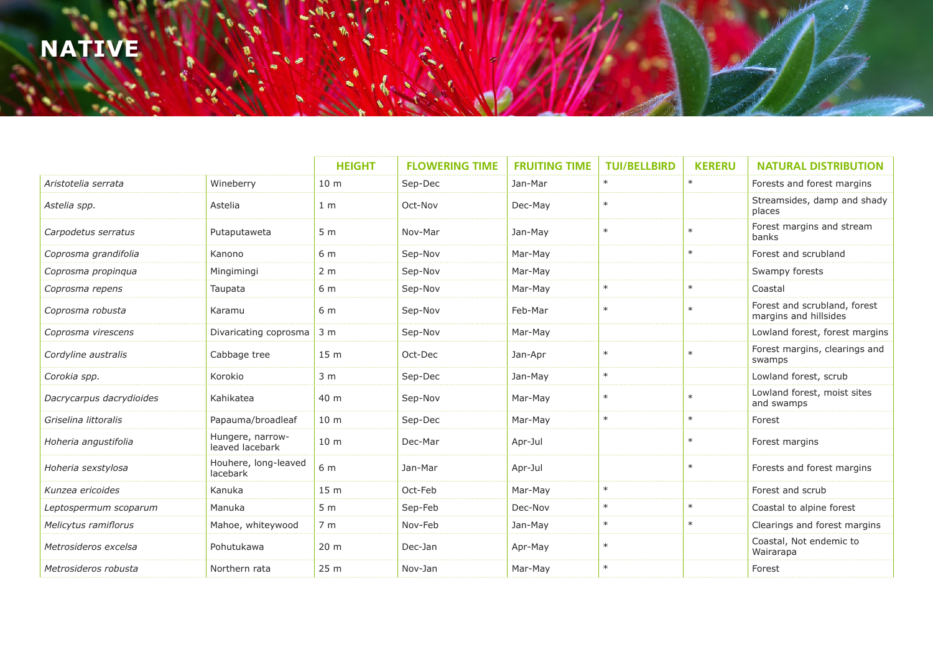### **NATIVE**

|                          |                                     | <b>HEIGHT</b>   | <b>FLOWERING TIME</b> | <b>FRUITING TIME</b> | <b>TUI/BELLBIRD</b> | <b>KERERU</b> | <b>NATURAL DISTRIBUTION</b>                           |
|--------------------------|-------------------------------------|-----------------|-----------------------|----------------------|---------------------|---------------|-------------------------------------------------------|
| Aristotelia serrata      | Wineberry                           | 10 <sub>m</sub> | Sep-Dec               | Jan-Mar              | $\ast$              | $\ast$        | Forests and forest margins                            |
| Astelia spp.             | Astelia                             | 1 <sub>m</sub>  | Oct-Nov               | Dec-May              | $\ast$              |               | Streamsides, damp and shady<br>places                 |
| Carpodetus serratus      | Putaputaweta                        | 5 <sub>m</sub>  | Nov-Mar               | Jan-May              | $\ast$              | $\ast$        | Forest margins and stream<br>banks                    |
| Coprosma grandifolia     | Kanono                              | 6 m             | Sep-Nov               | Mar-May              |                     | $\ast$        | Forest and scrubland                                  |
| Coprosma propinqua       | Mingimingi                          | 2 <sub>m</sub>  | Sep-Nov               | Mar-May              |                     |               | Swampy forests                                        |
| Coprosma repens          | Taupata                             | 6 m             | Sep-Nov               | Mar-May              | $\ast$              | $\ast$        | Coastal                                               |
| Coprosma robusta         | Karamu                              | 6 m             | Sep-Nov               | Feb-Mar              | $\ast$              | $\ast$        | Forest and scrubland, forest<br>margins and hillsides |
| Coprosma virescens       | Divaricating coprosma               | 3 <sub>m</sub>  | Sep-Nov               | Mar-May              |                     |               | Lowland forest, forest margins                        |
| Cordyline australis      | Cabbage tree                        | 15 <sub>m</sub> | Oct-Dec               | Jan-Apr              | $\ast$              | $\ast$        | Forest margins, clearings and<br>swamps               |
| Corokia spp.             | Korokio                             | 3 <sub>m</sub>  | Sep-Dec               | Jan-May              | $\ast$              |               | Lowland forest, scrub                                 |
| Dacrycarpus dacrydioides | Kahikatea                           | 40 m            | Sep-Nov               | Mar-May              | $\ast$              | $\ast$        | Lowland forest, moist sites<br>and swamps             |
| Griselina littoralis     | Papauma/broadleaf                   | 10 <sub>m</sub> | Sep-Dec               | Mar-May              | $\ast$              | $\ast$        | Forest                                                |
| Hoheria angustifolia     | Hungere, narrow-<br>leaved lacebark | 10 <sub>m</sub> | Dec-Mar               | Apr-Jul              |                     | $\ast$        | Forest margins                                        |
| Hoheria sexstylosa       | Houhere, long-leaved<br>lacebark    | 6 m             | Jan-Mar               | Apr-Jul              |                     | $\ast$        | Forests and forest margins                            |
| Kunzea ericoides         | Kanuka                              | 15 <sub>m</sub> | Oct-Feb               | Mar-May              | $\ast$              |               | Forest and scrub                                      |
| Leptospermum scoparum    | Manuka                              | 5 <sub>m</sub>  | Sep-Feb               | Dec-Nov              | $\ast$              | $\ast$        | Coastal to alpine forest                              |
| Melicytus ramiflorus     | Mahoe, whiteywood                   | 7 <sub>m</sub>  | Nov-Feb               | Jan-May              | $\ast$              | $\ast$        | Clearings and forest margins                          |
| Metrosideros excelsa     | Pohutukawa                          | 20 <sub>m</sub> | Dec-Jan               | Apr-May              | $\ast$              |               | Coastal, Not endemic to<br>Wairarapa                  |
| Metrosideros robusta     | Northern rata                       | 25 <sub>m</sub> | Nov-Jan               | Mar-May              | $\ast$              |               | Forest                                                |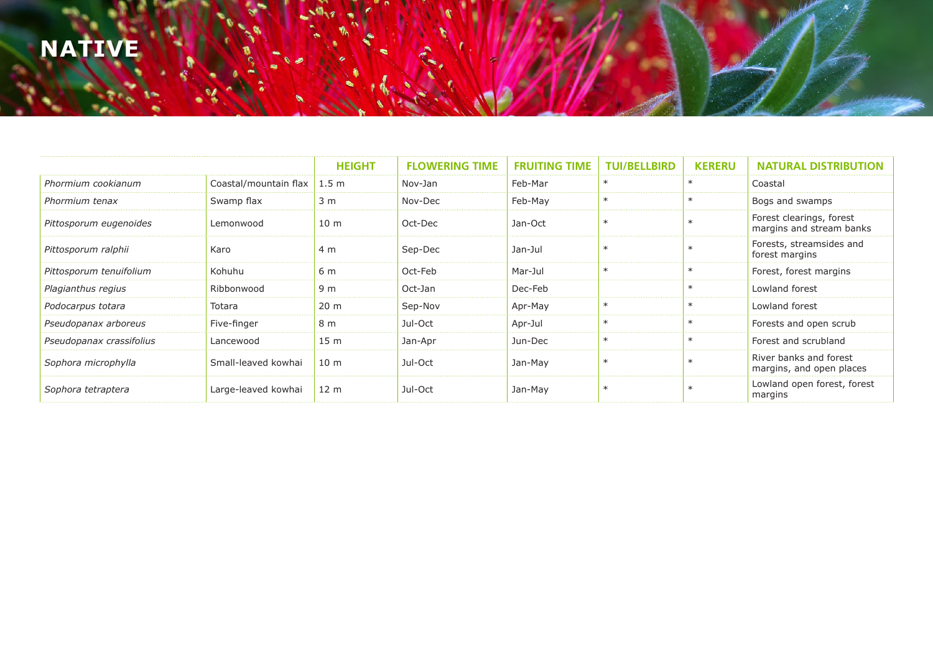### **NATIVE**

|                          |                       | <b>HEIGHT</b>    | <b>FLOWERING TIME</b> | <b>FRUITING TIME</b> | <b>TUI/BELLBIRD</b> | <b>KERERU</b> | <b>NATURAL DISTRIBUTION</b>                          |
|--------------------------|-----------------------|------------------|-----------------------|----------------------|---------------------|---------------|------------------------------------------------------|
| Phormium cookianum       | Coastal/mountain flax | 1.5 <sub>m</sub> | Nov-Jan               | Feb-Mar              |                     |               | Coastal                                              |
| Phormium tenax           | Swamp flax            | 3 <sub>m</sub>   | Nov-Dec               | Feb-May              | $\ast$              | $\ast$        | Bogs and swamps                                      |
| Pittosporum eugenoides   | Lemonwood             | 10 <sub>m</sub>  | Oct-Dec               | Jan-Oct              | $\ast$              |               | Forest clearings, forest<br>margins and stream banks |
| Pittosporum ralphii      | Karo                  | 4 m              | Sep-Dec               | Jan-Jul              | $\ast$              |               | Forests, streamsides and<br>forest margins           |
| Pittosporum tenuifolium  | Kohuhu                | 6 m              | Oct-Feb               | Mar-Jul              | $\ast$              | $\ast$        | Forest, forest margins                               |
| Plagianthus regius       | Ribbonwood            | 9 m              | Oct-Jan               | Dec-Feb              |                     |               | Lowland forest                                       |
| Podocarpus totara        | Totara                | 20 <sub>m</sub>  | Sep-Nov               | Apr-May              | $\ast$              | $\ast$        | Lowland forest                                       |
| Pseudopanax arboreus     | Five-finger           | 8 m              | Jul-Oct               | Apr-Jul              | $\ast$              | $\ast$        | Forests and open scrub                               |
| Pseudopanax crassifolius | Lancewood             | 15 <sub>m</sub>  | Jan-Apr               | Jun-Dec              | $\ast$              |               | Forest and scrubland                                 |
| Sophora microphylla      | Small-leaved kowhai   | 10 <sub>m</sub>  | Jul-Oct               | Jan-May              | $\ast$              |               | River banks and forest<br>margins, and open places   |
| Sophora tetraptera       | Large-leaved kowhai   | 12 <sub>m</sub>  | Jul-Oct               | Jan-May              | $\ast$              |               | Lowland open forest, forest<br>margins               |